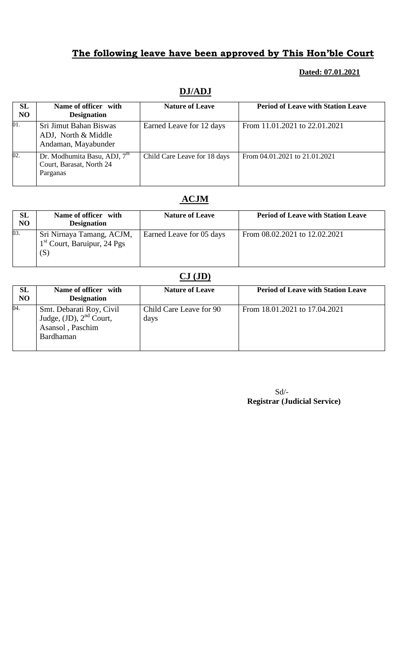### **Dated: 07.01.2021**

## **DJ/ADJ**

| SL<br><b>NO</b> | Name of officer with<br><b>Designation</b>                                       | <b>Nature of Leave</b>       | <b>Period of Leave with Station Leave</b> |
|-----------------|----------------------------------------------------------------------------------|------------------------------|-------------------------------------------|
| 01.             | Sri Jimut Bahan Biswas<br>ADJ, North & Middle<br>Andaman, Mayabunder             | Earned Leave for 12 days     | From 11.01.2021 to 22.01.2021             |
| 02.             | Dr. Modhumita Basu, ADJ, 7 <sup>th</sup><br>Court, Barasat, North 24<br>Parganas | Child Care Leave for 18 days | From 04.01.2021 to 21.01.2021             |

### **ACJM**

| SL<br>N <sub>O</sub> | Name of officer with<br><b>Designation</b>                        | <b>Nature of Leave</b>   | <b>Period of Leave with Station Leave</b> |
|----------------------|-------------------------------------------------------------------|--------------------------|-------------------------------------------|
| 03.                  | Sri Nirnaya Tamang, ACJM,<br>$1st$ Court, Baruipur, 24 Pgs<br>(S) | Earned Leave for 05 days | From 08.02.2021 to 12.02.2021             |

# **CJ (JD)**

| <b>SL</b><br>N <sub>O</sub> | Name of officer with<br><b>Designation</b>                                                | <b>Nature of Leave</b>          | <b>Period of Leave with Station Leave</b> |
|-----------------------------|-------------------------------------------------------------------------------------------|---------------------------------|-------------------------------------------|
| 04.                         | Smt. Debarati Roy, Civil<br>Judge, $(JD)$ , $2nd$ Court,<br>Asansol, Paschim<br>Bardhaman | Child Care Leave for 90<br>days | From 18.01.2021 to 17.04.2021             |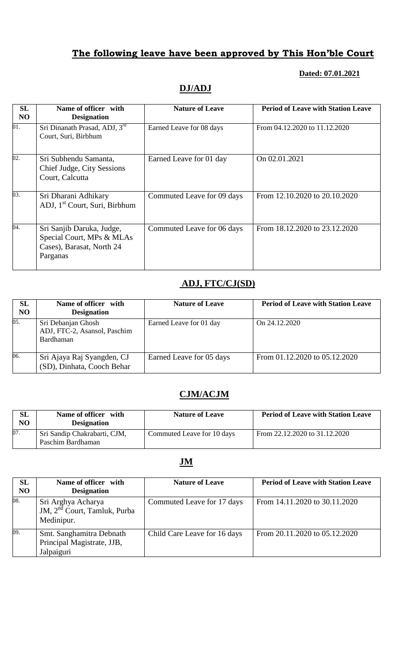## **Dated: 07.01.2021**

## **DJ/ADJ**

| SL             | Name of officer with                                                                            | <b>Nature of Leave</b>     | <b>Period of Leave with Station Leave</b> |
|----------------|-------------------------------------------------------------------------------------------------|----------------------------|-------------------------------------------|
|                |                                                                                                 |                            |                                           |
| N <sub>O</sub> | <b>Designation</b>                                                                              |                            |                                           |
| 01.            | Sri Dinanath Prasad, ADJ, 3rd<br>Court, Suri, Birbhum                                           | Earned Leave for 08 days   | From 04.12.2020 to 11.12.2020             |
| 02.            | Sri Subhendu Samanta,<br><b>Chief Judge, City Sessions</b><br>Court, Calcutta                   | Earned Leave for 01 day    | On 02.01.2021                             |
| 03.            | Sri Dharani Adhikary<br>ADJ, 1 <sup>st</sup> Court, Suri, Birbhum                               | Commuted Leave for 09 days | From 12.10.2020 to 20.10.2020             |
| 04.            | Sri Sanjib Daruka, Judge,<br>Special Court, MPs & MLAs<br>Cases), Barasat, North 24<br>Parganas | Commuted Leave for 06 days | From 18.12.2020 to 23.12.2020             |

## **ADJ, FTC/CJ(SD)**

| SL<br>N <sub>O</sub> | Name of officer with<br><b>Designation</b>                      | <b>Nature of Leave</b>   | <b>Period of Leave with Station Leave</b> |
|----------------------|-----------------------------------------------------------------|--------------------------|-------------------------------------------|
| 05.                  | Sri Debanjan Ghosh<br>ADJ, FTC-2, Asansol, Paschim<br>Bardhaman | Earned Leave for 01 day  | On 24.12.2020                             |
| 06.                  | Sri Ajaya Raj Syangden, CJ<br>(SD), Dinhata, Cooch Behar        | Earned Leave for 05 days | From 01.12.2020 to 05.12.2020             |

## **CJM/ACJM**

| SL<br>NO | Name of officer with<br><b>Designation</b>        | <b>Nature of Leave</b>     | <b>Period of Leave with Station Leave</b> |
|----------|---------------------------------------------------|----------------------------|-------------------------------------------|
| 07.      | Sri Sandip Chakrabarti, CJM,<br>Paschim Bardhaman | Commuted Leave for 10 days | From 22.12.2020 to 31.12.2020             |

## **JM**

| SL<br>N <sub>O</sub> | Name of officer with<br><b>Designation</b>                                   | <b>Nature of Leave</b>       | <b>Period of Leave with Station Leave</b> |
|----------------------|------------------------------------------------------------------------------|------------------------------|-------------------------------------------|
| 08.                  | Sri Arghya Acharya<br>JM, 2 <sup>nd</sup> Court, Tamluk, Purba<br>Medinipur. | Commuted Leave for 17 days   | From 14.11.2020 to 30.11.2020             |
| 09.                  | Smt. Sanghamitra Debnath<br>Principal Magistrate, JJB,<br>Jalpaiguri         | Child Care Leave for 16 days | From 20.11.2020 to 05.12.2020             |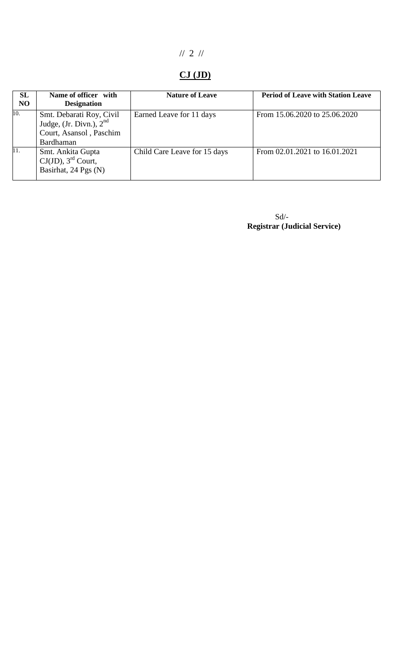# // 2 //

# **CJ (JD)**

| SL<br>N <sub>O</sub> | Name of officer with<br><b>Designation</b>                                                    | <b>Nature of Leave</b>       | <b>Period of Leave with Station Leave</b> |
|----------------------|-----------------------------------------------------------------------------------------------|------------------------------|-------------------------------------------|
| 10.                  | Smt. Debarati Roy, Civil<br>Judge, (Jr. Divn.), $2nd$<br>Court, Asansol, Paschim<br>Bardhaman | Earned Leave for 11 days     | From 15.06.2020 to 25.06.2020             |
| 11.                  | Smt. Ankita Gupta<br>$CJ(JD)$ , 3 <sup>rd</sup> Court,<br>Basirhat, 24 Pgs (N)                | Child Care Leave for 15 days | From $02.01.2021$ to $16.01.2021$         |

 $Sd$ <sup>-</sup>  **Registrar (Judicial Service)**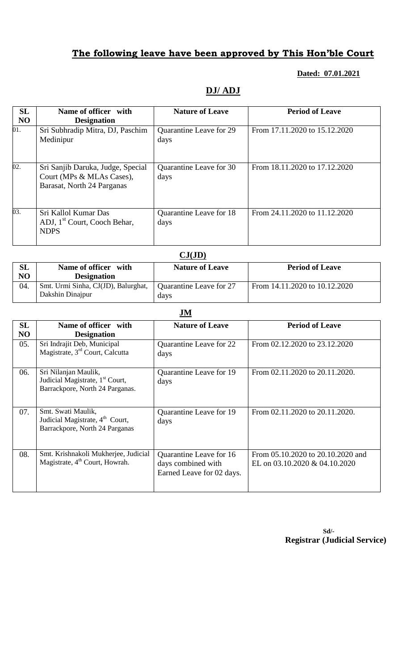### **Dated: 07.01.2021**

### **DJ/ ADJ**

| SL<br>N <sub>O</sub> | Name of officer with<br><b>Designation</b>                                                   | <b>Nature of Leave</b>                 | <b>Period of Leave</b>        |
|----------------------|----------------------------------------------------------------------------------------------|----------------------------------------|-------------------------------|
| 01.                  | Sri Subhradip Mitra, DJ, Paschim<br>Medinipur                                                | Quarantine Leave for 29<br>days        | From 17.11.2020 to 15.12.2020 |
| 02.                  | Sri Sanjib Daruka, Judge, Special<br>Court (MPs & MLAs Cases),<br>Barasat, North 24 Parganas | <b>Ouarantine Leave for 30</b><br>days | From 18.11.2020 to 17.12.2020 |
| 03.                  | Sri Kallol Kumar Das<br>ADJ, 1 <sup>st</sup> Court, Cooch Behar,<br><b>NDPS</b>              | Quarantine Leave for 18<br>days        | From 24.11.2020 to 11.12.2020 |

|     | CJ(JD)                                                  |                                 |                               |  |
|-----|---------------------------------------------------------|---------------------------------|-------------------------------|--|
| SL  | Name of officer with                                    | <b>Nature of Leave</b>          | <b>Period of Leave</b>        |  |
| NO  | <b>Designation</b>                                      |                                 |                               |  |
| 04. | Smt. Urmi Sinha, CJ(JD), Balurghat,<br>Dakshin Dinajpur | Quarantine Leave for 27<br>days | From 14.11.2020 to 10.12.2020 |  |

|          | $\mathbf{J}\mathbf{M}$                                                                                 |                                                                                   |                                                                    |  |
|----------|--------------------------------------------------------------------------------------------------------|-----------------------------------------------------------------------------------|--------------------------------------------------------------------|--|
| SL<br>NO | Name of officer with<br><b>Designation</b>                                                             | <b>Nature of Leave</b>                                                            | <b>Period of Leave</b>                                             |  |
| 05.      | Sri Indrajit Deb, Municipal<br>Magistrate, 3 <sup>rd</sup> Court, Calcutta                             | Quarantine Leave for 22<br>days                                                   | From 02.12.2020 to 23.12.2020                                      |  |
| 06.      | Sri Nilanjan Maulik,<br>Judicial Magistrate, 1 <sup>st</sup> Court,<br>Barrackpore, North 24 Parganas. | Quarantine Leave for 19<br>days                                                   | From 02.11.2020 to 20.11.2020.                                     |  |
| 07.      | Smt. Swati Maulik,<br>Judicial Magistrate, 4 <sup>th</sup> Court,<br>Barrackpore, North 24 Parganas    | Quarantine Leave for 19<br>days                                                   | From 02.11.2020 to 20.11.2020.                                     |  |
| 08.      | Smt. Krishnakoli Mukherjee, Judicial<br>Magistrate, 4 <sup>th</sup> Court, Howrah.                     | <b>Ouarantine Leave for 16</b><br>days combined with<br>Earned Leave for 02 days. | From 05.10.2020 to 20.10.2020 and<br>EL on 03.10.2020 & 04.10.2020 |  |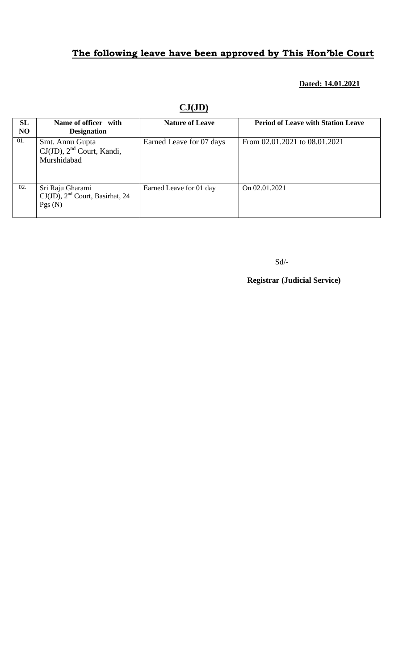### **Dated: 14.01.2021**

| SL<br>N <sub>O</sub> | Name of officer with<br><b>Designation</b>                         | <b>Nature of Leave</b>   | <b>Period of Leave with Station Leave</b> |
|----------------------|--------------------------------------------------------------------|--------------------------|-------------------------------------------|
| 01.                  | Smt. Annu Gupta<br>$CJ(JD)$ , $2nd$ Court, Kandi,<br>Murshidabad   | Earned Leave for 07 days | From 02.01.2021 to 08.01.2021             |
| 02.                  | Sri Raju Gharami<br>$CJ(JD)$ , $2nd$ Court, Basirhat, 24<br>Pgs(N) | Earned Leave for 01 day  | On 02.01.2021                             |

**CJ(JD)**

Sd/-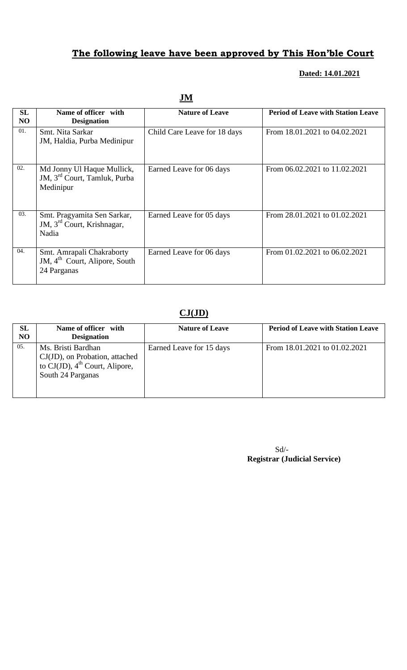## **Dated: 14.01.2021**

| <b>SL</b><br>N <sub>O</sub> | Name of officer with<br><b>Designation</b>                                            | <b>Nature of Leave</b>       | <b>Period of Leave with Station Leave</b> |  |
|-----------------------------|---------------------------------------------------------------------------------------|------------------------------|-------------------------------------------|--|
| 01.                         | Smt. Nita Sarkar<br>JM, Haldia, Purba Medinipur                                       | Child Care Leave for 18 days | From 18.01.2021 to 04.02.2021             |  |
| 02.                         | Md Jonny Ul Haque Mullick,<br>JM, 3 <sup>rd</sup> Court, Tamluk, Purba<br>Medinipur   | Earned Leave for 06 days     | From 06.02.2021 to 11.02.2021             |  |
| 03.                         | Smt. Pragyamita Sen Sarkar,<br>JM, 3 <sup>rd</sup> Court, Krishnagar,<br>Nadia        | Earned Leave for 05 days     | From 28.01.2021 to 01.02.2021             |  |
| 04.                         | Smt. Amrapali Chakraborty<br>JM, 4 <sup>th</sup> Court, Alipore, South<br>24 Parganas | Earned Leave for 06 days     | From 01.02.2021 to 06.02.2021             |  |

**JM**

### **CJ(JD)**

| SL<br>N <sub>O</sub> | Name of officer with<br><b>Designation</b>                                                                                 | <b>Nature of Leave</b>   | <b>Period of Leave with Station Leave</b> |
|----------------------|----------------------------------------------------------------------------------------------------------------------------|--------------------------|-------------------------------------------|
| 05.                  | Ms. Bristi Bardhan<br>CJ(JD), on Probation, attached<br>to $CJ(JD)$ , 4 <sup>th</sup> Court, Alipore,<br>South 24 Parganas | Earned Leave for 15 days | From 18.01.2021 to 01.02.2021             |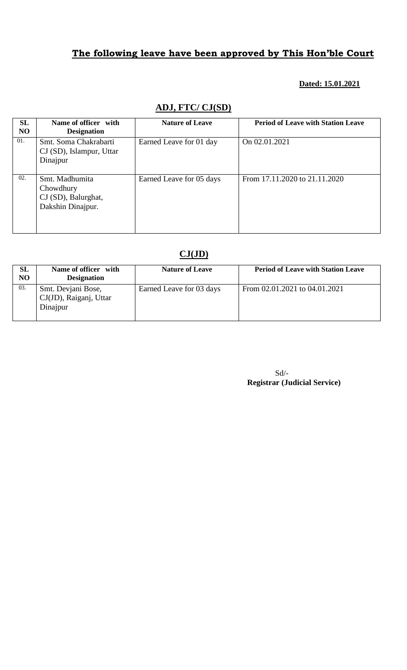### **Dated: 15.01.2021**

### **ADJ, FTC/ CJ(SD)**

| SL<br>N <sub>O</sub> | Name of officer with<br><b>Designation</b>                              | <b>Nature of Leave</b>   | <b>Period of Leave with Station Leave</b> |
|----------------------|-------------------------------------------------------------------------|--------------------------|-------------------------------------------|
| 01.                  | Smt. Soma Chakrabarti<br>$CI(SD)$ , Islampur, Uttar<br>Dinajpur         | Earned Leave for 01 day  | On 02.01.2021                             |
| 02.                  | Smt. Madhumita<br>Chowdhury<br>CJ (SD), Balurghat,<br>Dakshin Dinajpur. | Earned Leave for 05 days | From 17.11.2020 to 21.11.2020             |

# **CJ(JD)**

| <b>SL</b><br>N <sub>O</sub> | Name of officer with<br><b>Designation</b>               | <b>Nature of Leave</b>   | <b>Period of Leave with Station Leave</b> |
|-----------------------------|----------------------------------------------------------|--------------------------|-------------------------------------------|
| 03.                         | Smt. Devjani Bose,<br>CJ(JD), Raiganj, Uttar<br>Dinajpur | Earned Leave for 03 days | From 02.01.2021 to 04.01.2021             |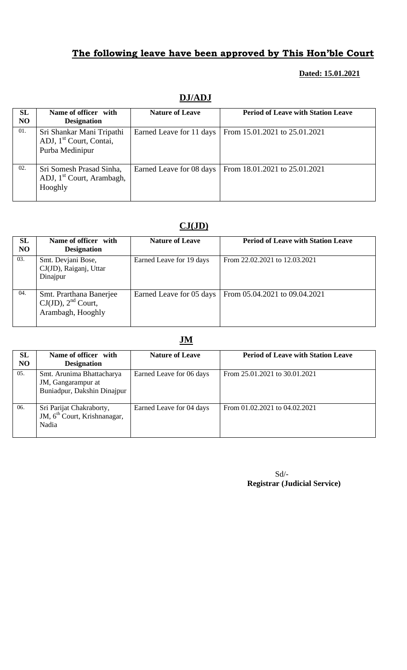### **Dated: 15.01.2021**

| SL<br>N <sub>O</sub> | Name of officer with<br><b>Designation</b>                                          | <b>Nature of Leave</b>   | <b>Period of Leave with Station Leave</b> |
|----------------------|-------------------------------------------------------------------------------------|--------------------------|-------------------------------------------|
| 01.                  | Sri Shankar Mani Tripathi<br>ADJ, 1 <sup>st</sup> Court, Contai,<br>Purba Medinipur | Earned Leave for 11 days | From 15.01.2021 to 25.01.2021             |
| 02.                  | Sri Somesh Prasad Sinha,<br>ADJ, 1 <sup>st</sup> Court, Arambagh,<br>Hooghly        | Earned Leave for 08 days | From 18.01.2021 to 25.01.2021             |

## **CJ(JD)**

| SL<br><b>NO</b> | Name of officer with<br><b>Designation</b>                              | <b>Nature of Leave</b>   | <b>Period of Leave with Station Leave</b> |
|-----------------|-------------------------------------------------------------------------|--------------------------|-------------------------------------------|
| 03.             | Smt. Devjani Bose,<br>CJ(JD), Raiganj, Uttar<br>Dinajpur                | Earned Leave for 19 days | From 22.02.2021 to 12.03.2021             |
| 04.             | Smt. Prarthana Banerjee<br>$CJ(JD)$ , $2nd$ Court,<br>Arambagh, Hooghly | Earned Leave for 05 days | From 05.04.2021 to 09.04.2021             |

|                             |                                                                                | $\ddotsc$                |                                           |
|-----------------------------|--------------------------------------------------------------------------------|--------------------------|-------------------------------------------|
| <b>SL</b><br>N <sub>O</sub> | Name of officer with<br><b>Designation</b>                                     | <b>Nature of Leave</b>   | <b>Period of Leave with Station Leave</b> |
| 05.                         | Smt. Arunima Bhattacharya<br>JM, Gangarampur at<br>Buniadpur, Dakshin Dinajpur | Earned Leave for 06 days | From 25.01.2021 to 30.01.2021             |
| 06.                         | Sri Parijat Chakraborty,<br>JM, 6 <sup>th</sup> Court, Krishnanagar,<br>Nadia  | Earned Leave for 04 days | From 01.02.2021 to 04.02.2021             |

Sd/-  **Registrar (Judicial Service)**

### **JM**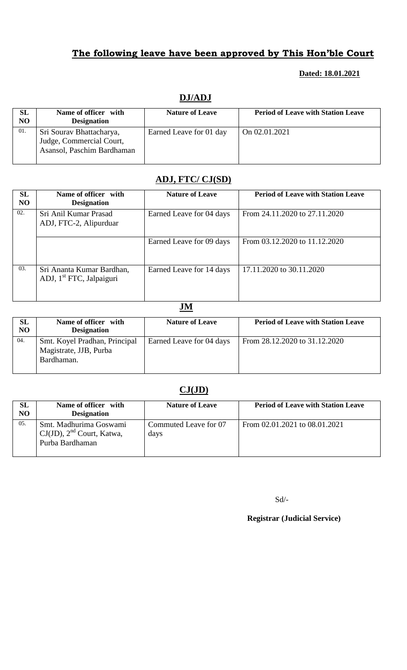### **Dated: 18.01.2021**

| SL  | Name of officer with       | <b>Nature of Leave</b>  | <b>Period of Leave with Station Leave</b> |
|-----|----------------------------|-------------------------|-------------------------------------------|
| NO  | <b>Designation</b>         |                         |                                           |
| 01. | Sri Sourav Bhattacharya,   | Earned Leave for 01 day | On 02.01.2021                             |
|     | Judge, Commercial Court,   |                         |                                           |
|     | Asansol, Paschim Bardhaman |                         |                                           |
|     |                            |                         |                                           |

### **DJ/ADJ**

# **ADJ, FTC/ CJ(SD)**

| SL<br><b>NO</b> | Name of officer with<br><b>Designation</b>                        | <b>Nature of Leave</b>   | <b>Period of Leave with Station Leave</b> |
|-----------------|-------------------------------------------------------------------|--------------------------|-------------------------------------------|
| 02.             | Sri Anil Kumar Prasad<br>ADJ, FTC-2, Alipurduar                   | Earned Leave for 04 days | From 24.11.2020 to 27.11.2020             |
|                 |                                                                   | Earned Leave for 09 days | From 03.12.2020 to 11.12.2020             |
| 03.             | Sri Ananta Kumar Bardhan,<br>ADJ, 1 <sup>st</sup> FTC, Jalpaiguri | Earned Leave for 14 days | 17.11.2020 to 30.11.2020                  |

### **JM**

| SL<br>N <sub>O</sub> | Name of officer with<br><b>Designation</b>                            | <b>Nature of Leave</b>   | <b>Period of Leave with Station Leave</b> |
|----------------------|-----------------------------------------------------------------------|--------------------------|-------------------------------------------|
| 04.                  | Smt. Koyel Pradhan, Principal<br>Magistrate, JJB, Purba<br>Bardhaman. | Earned Leave for 04 days | From 28.12.2020 to 31.12.2020             |

# **CJ(JD)**

| SL<br>N <sub>O</sub> | Name of officer with<br><b>Designation</b>                                  | <b>Nature of Leave</b>        | <b>Period of Leave with Station Leave</b> |
|----------------------|-----------------------------------------------------------------------------|-------------------------------|-------------------------------------------|
| 05.                  | Smt. Madhurima Goswami<br>$CJ(JD)$ , $2nd$ Court, Katwa,<br>Purba Bardhaman | Commuted Leave for 07<br>days | From 02.01.2021 to 08.01.2021             |

Sd/-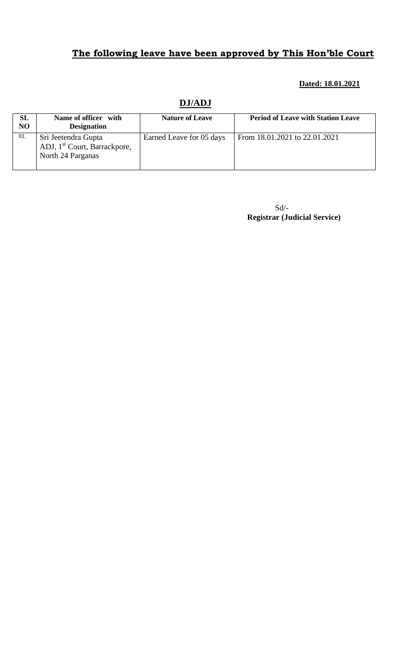#### **Dated: 18.01.2021**

### **DJ/ADJ**

| <b>SL</b><br>N <sub>O</sub> | Name of officer with<br><b>Designation</b>                                           | <b>Nature of Leave</b>   | <b>Period of Leave with Station Leave</b> |
|-----------------------------|--------------------------------------------------------------------------------------|--------------------------|-------------------------------------------|
| 01.                         | Sri Jeetendra Gupta<br>ADJ, 1 <sup>st</sup> Court, Barrackpore,<br>North 24 Parganas | Earned Leave for 05 days | From 18.01.2021 to 22.01.2021             |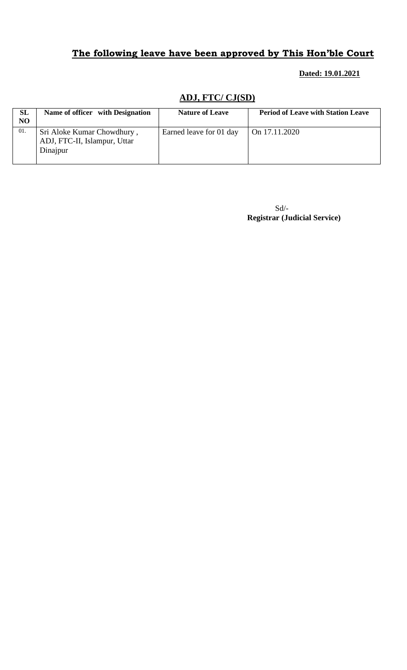### **Dated: 19.01.2021**

# **ADJ, FTC/ CJ(SD)**

| <b>SL</b><br>N <sub>O</sub> | Name of officer with Designation                                       | <b>Nature of Leave</b>  | <b>Period of Leave with Station Leave</b> |
|-----------------------------|------------------------------------------------------------------------|-------------------------|-------------------------------------------|
| 01.                         | Sri Aloke Kumar Chowdhury,<br>ADJ, FTC-II, Islampur, Uttar<br>Dinajpur | Earned leave for 01 day | On 17.11.2020                             |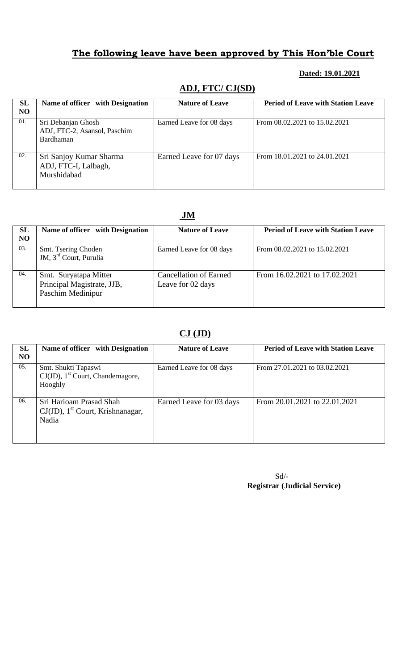### **Dated: 19.01.2021**

### **ADJ, FTC/ CJ(SD)**

| SL<br><b>NO</b> | Name of officer with Designation                                | <b>Nature of Leave</b>   | <b>Period of Leave with Station Leave</b> |
|-----------------|-----------------------------------------------------------------|--------------------------|-------------------------------------------|
| 01.             | Sri Debanjan Ghosh<br>ADJ, FTC-2, Asansol, Paschim<br>Bardhaman | Earned Leave for 08 days | From 08.02.2021 to 15.02.2021             |
| 02.             | Sri Sanjoy Kumar Sharma<br>ADJ, FTC-I, Lalbagh,<br>Murshidabad  | Earned Leave for 07 days | From 18.01.2021 to 24.01.2021             |

### **JM**

| <b>SL</b><br>N <sub>O</sub> | Name of officer with Designation                                         | <b>Nature of Leave</b>                             | <b>Period of Leave with Station Leave</b> |
|-----------------------------|--------------------------------------------------------------------------|----------------------------------------------------|-------------------------------------------|
| 03.                         | Smt. Tsering Choden<br>JM, 3 <sup>rd</sup> Court, Purulia                | Earned Leave for 08 days                           | From 08.02.2021 to 15.02.2021             |
| 04.                         | Smt. Suryatapa Mitter<br>Principal Magistrate, JJB,<br>Paschim Medinipur | <b>Cancellation of Earned</b><br>Leave for 02 days | From 16.02.2021 to 17.02.2021             |

### **CJ (JD)**

| <b>SL</b><br><b>NO</b> | Name of officer with Designation                                                    | <b>Nature of Leave</b>   | <b>Period of Leave with Station Leave</b> |
|------------------------|-------------------------------------------------------------------------------------|--------------------------|-------------------------------------------|
| 05.                    | Smt. Shukti Tapaswi<br>$CJ(JD)$ , 1 <sup>st</sup> Court, Chandernagore,<br>Hooghly  | Earned Leave for 08 days | From 27.01.2021 to 03.02.2021             |
| 06.                    | Sri Harioam Prasad Shah<br>$CJ(JD)$ , 1 <sup>st</sup> Court, Krishnanagar,<br>Nadia | Earned Leave for 03 days | From 20.01.2021 to 22.01.2021             |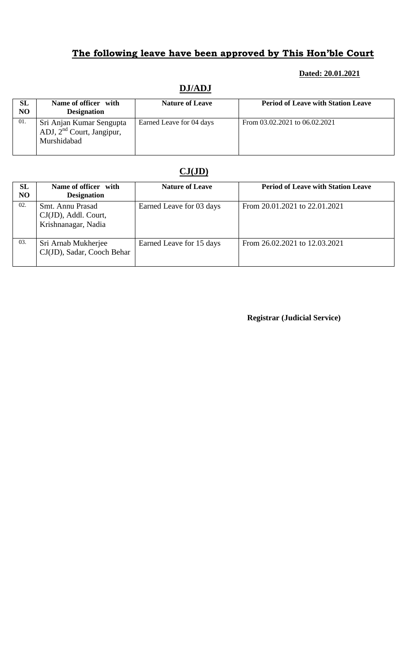### **Dated: 20.01.2021**

| SL<br>NO | Name of officer with<br><b>Designation</b>                             | <b>Nature of Leave</b>   | <b>Period of Leave with Station Leave</b> |
|----------|------------------------------------------------------------------------|--------------------------|-------------------------------------------|
| 01.      | Sri Anjan Kumar Sengupta<br>ADJ, $2nd$ Court, Jangipur,<br>Murshidabad | Earned Leave for 04 days | From 03.02.2021 to 06.02.2021             |

# **DJ/ADJ**

# **CJ(JD)**

| SL<br>N <sub>O</sub> | Name of officer with<br><b>Designation</b>                      | <b>Nature of Leave</b>   | <b>Period of Leave with Station Leave</b> |
|----------------------|-----------------------------------------------------------------|--------------------------|-------------------------------------------|
| 02.                  | Smt. Annu Prasad<br>CJ(JD), Addl. Court,<br>Krishnanagar, Nadia | Earned Leave for 03 days | From 20.01.2021 to 22.01.2021             |
| 03.                  | Sri Arnab Mukherjee<br>CJ(JD), Sadar, Cooch Behar               | Earned Leave for 15 days | From 26.02.2021 to 12.03.2021             |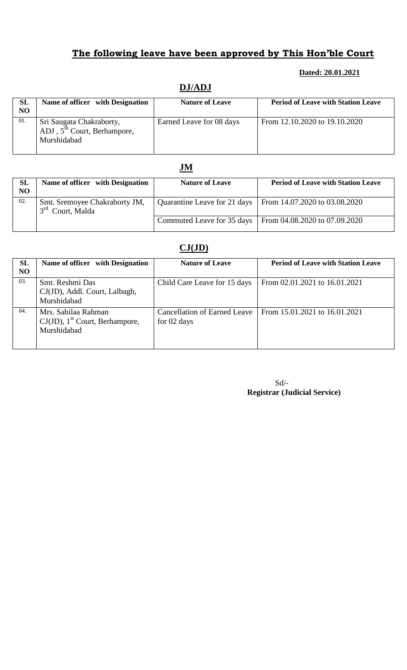#### **Dated: 20.01.2021**

# **DJ/ADJ**

| <b>SL</b><br>N <sub>O</sub> | Name of officer with Designation                                                   | <b>Nature of Leave</b>   | <b>Period of Leave with Station Leave</b> |
|-----------------------------|------------------------------------------------------------------------------------|--------------------------|-------------------------------------------|
| 01.                         | Sri Saugata Chakraborty,<br>ADJ, 5 <sup>th</sup> Court, Berhampore,<br>Murshidabad | Earned Leave for 08 days | From 12.10.2020 to 19.10.2020             |

### **JM**

| <b>SL</b><br>N <sub>O</sub> | Name of officer with Designation                              | <b>Nature of Leave</b>     | <b>Period of Leave with Station Leave</b>                    |
|-----------------------------|---------------------------------------------------------------|----------------------------|--------------------------------------------------------------|
| 02.                         | Smt. Sremoyee Chakraborty JM,<br>3 <sup>rd</sup> Court, Malda |                            | Quarantine Leave for 21 days   From 14.07.2020 to 03.08.2020 |
|                             |                                                               | Commuted Leave for 35 days | From $04.08.2020$ to $07.09.2020$                            |

## **CJ(JD)**

| <b>SL</b><br>N <sub>O</sub> | Name of officer with Designation                                                    | <b>Nature of Leave</b>                             | <b>Period of Leave with Station Leave</b> |
|-----------------------------|-------------------------------------------------------------------------------------|----------------------------------------------------|-------------------------------------------|
| 03.                         | Smt. Reshmi Das<br>CJ(JD), Addl. Court, Lalbagh,<br>Murshidabad                     | Child Care Leave for 15 days                       | From 02.01.2021 to 16.01.2021             |
| 04.                         | Mrs. Sabilaa Rahman<br>$CJ(JD)$ , 1 <sup>st</sup> Court, Berhampore,<br>Murshidabad | <b>Cancellation of Earned Leave</b><br>for 02 days | From 15.01.2021 to 16.01.2021             |

| $Sd/-$                              |  |
|-------------------------------------|--|
| <b>Registrar (Judicial Service)</b> |  |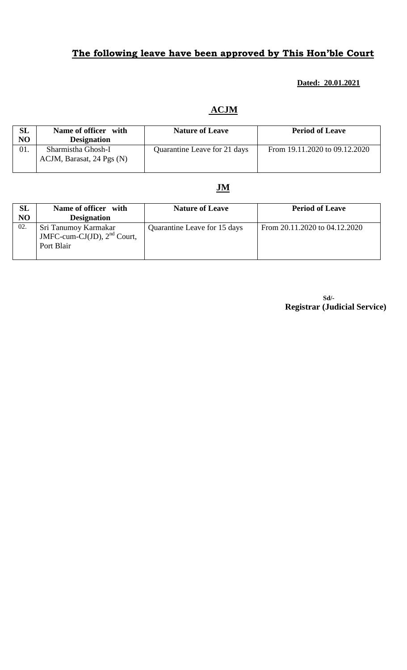### **Dated: 20.01.2021**

### **ACJM**

| <b>SL</b><br>N <sub>O</sub> | Name of officer with<br><b>Designation</b>      | <b>Nature of Leave</b>       | <b>Period of Leave</b>        |
|-----------------------------|-------------------------------------------------|------------------------------|-------------------------------|
| 01.                         | Sharmistha Ghosh-I<br>ACJM, Barasat, 24 Pgs (N) | Quarantine Leave for 21 days | From 19.11.2020 to 09.12.2020 |

### **JM**

| SL<br>N <sub>O</sub> | Name of officer with<br><b>Designation</b>                          | <b>Nature of Leave</b>       | <b>Period of Leave</b>        |
|----------------------|---------------------------------------------------------------------|------------------------------|-------------------------------|
| 02.                  | Sri Tanumoy Karmakar<br>JMFC-cum-CJ(JD), $2nd$ Court,<br>Port Blair | Quarantine Leave for 15 days | From 20.11.2020 to 04.12.2020 |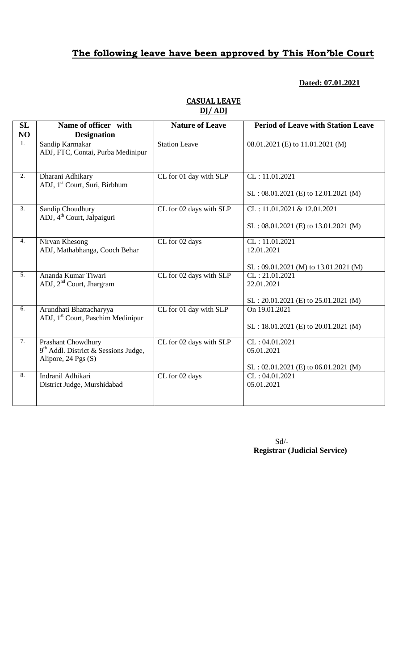### **Dated: 07.01.2021**

| <b>SL</b><br>NO  | Name of officer with<br><b>Designation</b>                                                        | <b>Nature of Leave</b>  | <b>Period of Leave with Station Leave</b>                              |
|------------------|---------------------------------------------------------------------------------------------------|-------------------------|------------------------------------------------------------------------|
| 1.               | Sandip Karmakar<br>ADJ, FTC, Contai, Purba Medinipur                                              | Station Leave           | 08.01.2021 (E) to 11.01.2021 (M)                                       |
| $\overline{2}$ . | Dharani Adhikary<br>ADJ, 1 <sup>st</sup> Court, Suri, Birbhum                                     | CL for 01 day with SLP  | CL: 11.01.2021<br>$SL: 08.01.2021$ (E) to 12.01.2021 (M)               |
| $\overline{3}$ . | Sandip Choudhury<br>ADJ, 4 <sup>th</sup> Court, Jalpaiguri                                        | CL for 02 days with SLP | CL: 11.01.2021 & 12.01.2021<br>$SL: 08.01.2021$ (E) to 13.01.2021 (M)  |
| $\overline{4}$ . | Nirvan Khesong<br>ADJ, Mathabhanga, Cooch Behar                                                   | CL for 02 days          | CL: 11.01.2021<br>12.01.2021<br>$SL: 09.01.2021$ (M) to 13.01.2021 (M) |
| 5.               | Ananda Kumar Tiwari<br>ADJ, $2nd$ Court, Jhargram                                                 | CL for 02 days with SLP | CL: 21.01.2021<br>22.01.2021<br>$SL: 20.01.2021$ (E) to 25.01.2021 (M) |
| 6.               | Arundhati Bhattacharyya<br>ADJ, 1 <sup>st</sup> Court, Paschim Medinipur                          | CL for 01 day with SLP  | On 19.01.2021<br>$SL: 18.01.2021$ (E) to 20.01.2021 (M)                |
| $\overline{7}$ . | Prashant Chowdhury<br>9 <sup>th</sup> Addl. District & Sessions Judge,<br>Alipore, $24$ Pgs $(S)$ | CL for 02 days with SLP | CL: 04.01.2021<br>05.01.2021<br>$SL: 02.01.2021$ (E) to 06.01.2021 (M) |
| 8.               | Indranil Adhikari<br>District Judge, Murshidabad                                                  | CL for 02 days          | CL: 04.01.2021<br>05.01.2021                                           |

### **CASUAL LEAVE DJ/ ADJ**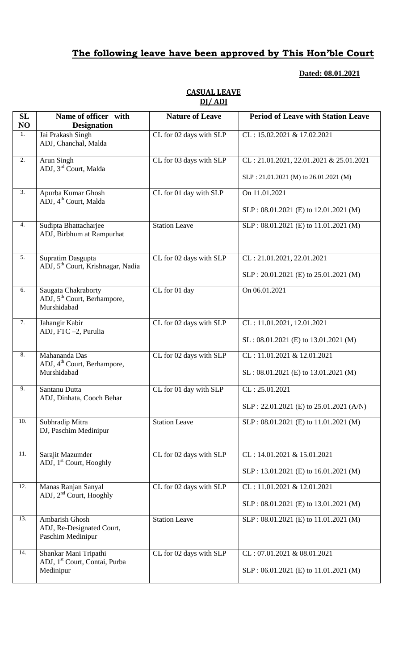## **Dated: 08.01.2021**

| SL<br>NO          | Name of officer with<br><b>Designation</b>                                    | <b>Nature of Leave</b>  | <b>Period of Leave with Station Leave</b> |
|-------------------|-------------------------------------------------------------------------------|-------------------------|-------------------------------------------|
| 1.                | Jai Prakash Singh<br>ADJ, Chanchal, Malda                                     | CL for 02 days with SLP | CL: 15.02.2021 & 17.02.2021               |
| $\overline{2}$ .  | Arun Singh                                                                    | CL for 03 days with SLP | CL: 21.01.2021, 22.01.2021 & 25.01.2021   |
|                   | ADJ, 3 <sup>rd</sup> Court, Malda                                             |                         | SLP: 21.01.2021 (M) to 26.01.2021 (M)     |
| $\overline{3}$ .  | Apurba Kumar Ghosh                                                            | CL for 01 day with SLP  | On 11.01.2021                             |
|                   | ADJ, 4 <sup>th</sup> Court, Malda                                             |                         | SLP: 08.01.2021 (E) to 12.01.2021 (M)     |
| 4.                | Sudipta Bhattacharjee<br>ADJ, Birbhum at Rampurhat                            | <b>Station Leave</b>    | SLP: 08.01.2021 (E) to 11.01.2021 (M)     |
| $\overline{5}$ .  | Supratim Dasgupta                                                             | CL for 02 days with SLP | CL: 21.01.2021, 22.01.2021                |
|                   | ADJ, 5 <sup>th</sup> Court, Krishnagar, Nadia                                 |                         | SLP: 20.01.2021 (E) to 25.01.2021 (M)     |
| 6.                | Saugata Chakraborty<br>ADJ, 5 <sup>th</sup> Court, Berhampore,<br>Murshidabad | CL for 01 day           | On 06.01.2021                             |
| 7.                | Jahangir Kabir                                                                | CL for 02 days with SLP | CL: 11.01.2021, 12.01.2021                |
|                   | ADJ, FTC -2, Purulia                                                          |                         | $SL : 08.01.2021$ (E) to 13.01.2021 (M)   |
| 8.                | Mahananda Das                                                                 | CL for 02 days with SLP | CL: 11.01.2021 & 12.01.2021               |
|                   | ADJ, 4 <sup>th</sup> Court, Berhampore,<br>Murshidabad                        |                         | $SL : 08.01.2021$ (E) to 13.01.2021 (M)   |
| 9.                | Santanu Dutta                                                                 | CL for 01 day with SLP  | CL: 25.01.2021                            |
|                   | ADJ, Dinhata, Cooch Behar                                                     |                         | SLP: 22.01.2021 (E) to 25.01.2021 (A/N)   |
| 10.               | Subhradip Mitra<br>DJ, Paschim Medinipur                                      | <b>Station Leave</b>    | SLP: 08.01.2021 (E) to 11.01.2021 (M)     |
| 11.               | Sarajit Mazumder                                                              | CL for 02 days with SLP | CL: 14.01.2021 & 15.01.2021               |
|                   | ADJ, 1 <sup>st</sup> Court, Hooghly                                           |                         | SLP: 13.01.2021 (E) to 16.01.2021 (M)     |
| $\overline{12}$ . | Manas Ranjan Sanyal<br>ADJ, $2nd$ Court, Hooghly                              | CL for 02 days with SLP | CL: 11.01.2021 & 12.01.2021               |
|                   |                                                                               |                         | SLP: 08.01.2021 (E) to 13.01.2021 (M)     |
| 13.               | Ambarish Ghosh<br>ADJ, Re-Designated Court,<br>Paschim Medinipur              | <b>Station Leave</b>    | SLP: 08.01.2021 (E) to 11.01.2021 (M)     |
| 14.               | Shankar Mani Tripathi                                                         | CL for 02 days with SLP | CL: 07.01.2021 & 08.01.2021               |
|                   | ADJ, 1 <sup>st</sup> Court, Contai, Purba<br>Medinipur                        |                         | SLP: 06.01.2021 (E) to 11.01.2021 (M)     |

### **CASUAL LEAVE DJ/ ADJ**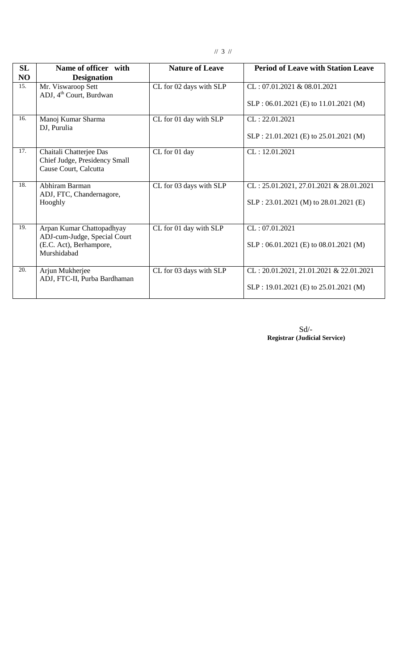|--|--|--|

| <b>SL</b><br>NO | Name of officer with<br><b>Designation</b>                                                          | <b>Nature of Leave</b>  | <b>Period of Leave with Station Leave</b>                                           |
|-----------------|-----------------------------------------------------------------------------------------------------|-------------------------|-------------------------------------------------------------------------------------|
| 15.             | Mr. Viswaroop Sett<br>ADJ, 4 <sup>th</sup> Court, Burdwan                                           | CL for 02 days with SLP | $CL: 07.01.2021 \& 08.01.2021$<br>$SLP: 06.01.2021 (E)$ to 11.01.2021 (M)           |
| 16.             | Manoj Kumar Sharma<br>DJ, Purulia                                                                   | CL for 01 day with SLP  | CL: 22.01.2021<br>SLP: 21.01.2021 (E) to 25.01.2021 (M)                             |
| 17.             | Chaitali Chatterjee Das<br>Chief Judge, Presidency Small<br>Cause Court, Calcutta                   | CL for 01 day           | CL: 12.01.2021                                                                      |
| 18.             | Abhiram Barman<br>ADJ, FTC, Chandernagore,<br>Hooghly                                               | CL for 03 days with SLP | $CL: 25.01.2021, 27.01.2021 \& 28.01.2021$<br>SLP: 23.01.2021 (M) to 28.01.2021 (E) |
| 19.             | Arpan Kumar Chattopadhyay<br>ADJ-cum-Judge, Special Court<br>(E.C. Act), Berhampore,<br>Murshidabad | CL for 01 day with SLP  | CL: 07.01.2021<br>SLP: 06.01.2021 (E) to 08.01.2021 (M)                             |
| 20.             | Arjun Mukherjee<br>ADJ, FTC-II, Purba Bardhaman                                                     | CL for 03 days with SLP | CL: 20.01.2021, 21.01.2021 & 22.01.2021<br>SLP: 19.01.2021 (E) to 25.01.2021 (M)    |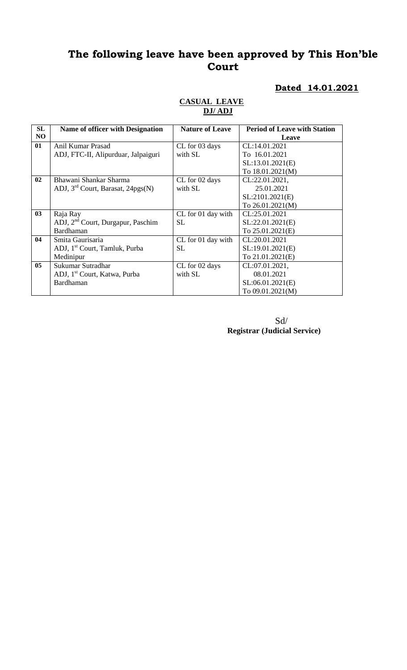### **Dated 14.01.2021**

| <b>SL</b>      | Name of officer with Designation              | <b>Nature of Leave</b> | <b>Period of Leave with Station</b> |
|----------------|-----------------------------------------------|------------------------|-------------------------------------|
| NO             |                                               |                        | Leave                               |
| 01             | Anil Kumar Prasad                             | CL for 03 days         | CL:14.01.2021                       |
|                | ADJ, FTC-II, Alipurduar, Jalpaiguri           | with SL                | To 16.01.2021                       |
|                |                                               |                        | SL:13.01.2021(E)                    |
|                |                                               |                        | To 18.01.2021(M)                    |
| 02             | Bhawani Shankar Sharma                        | CL for 02 days         | CL:22.01.2021,                      |
|                | ADJ, $3rd$ Court, Barasat, 24pgs(N)           | with SL                | 25.01.2021                          |
|                |                                               |                        | SL:2101.2021(E)                     |
|                |                                               |                        | To 26.01.2021(M)                    |
| 03             | Raja Ray                                      | CL for 01 day with     | CL:25.01.2021                       |
|                | ADJ, 2 <sup>nd</sup> Court, Durgapur, Paschim | <b>SL</b>              | SL:22.01.2021(E)                    |
|                | Bardhaman                                     |                        | To 25.01.2021(E)                    |
| 04             | Smita Gaurisaria                              | CL for 01 day with     | CL:20.01.2021                       |
|                | ADJ, 1 <sup>st</sup> Court, Tamluk, Purba     | <b>SL</b>              | SL:19.01.2021(E)                    |
|                | Medinipur                                     |                        | To 21.01.2021(E)                    |
| 0 <sub>5</sub> | Sukumar Sutradhar                             | CL for 02 days         | CL:07.01.2021,                      |
|                | ADJ, 1 <sup>st</sup> Court, Katwa, Purba      | with SL                | 08.01.2021                          |
|                | Bardhaman                                     |                        | SL:06.01.2021(E)                    |
|                |                                               |                        | To 09.01.2021(M)                    |

#### **CASUAL LEAVE DJ/ ADJ**

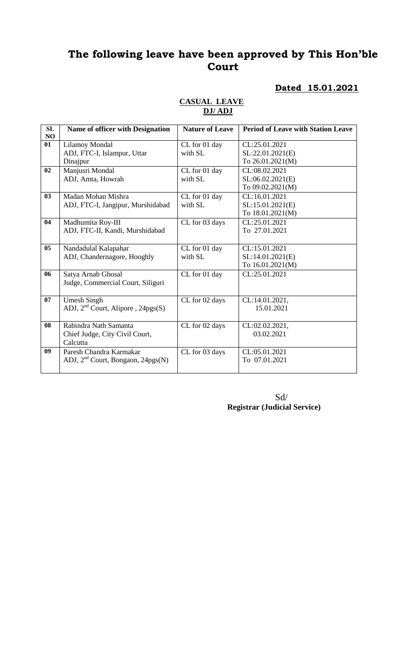### **Dated 15.01.2021**

| NO<br>01<br><b>Lilamoy Mondal</b><br>CL:25.01.2021<br>CL for 01 day<br>ADJ, FTC-I, Islampur, Uttar<br>with SL<br>SL:22.01.2021(E) |  |
|-----------------------------------------------------------------------------------------------------------------------------------|--|
|                                                                                                                                   |  |
|                                                                                                                                   |  |
| Dinajpur<br>To 26.01.2021(M)                                                                                                      |  |
| Manjusri Mondal<br>CL:08.02.2021<br>02<br>CL for 01 day                                                                           |  |
| ADJ, Amta, Howrah<br>with SL<br>SL:06.02.2021(E)                                                                                  |  |
| To 09.02.2021(M)                                                                                                                  |  |
| 03<br>Madan Mohan Mishra<br>CL:16.01.2021<br>CL for 01 day                                                                        |  |
| with SL<br>SL:15.01.2021(E)<br>ADJ, FTC-I, Jangipur, Murshidabad                                                                  |  |
| To 18.01.2021(M)                                                                                                                  |  |
| 04<br>Madhumita Roy-III<br>CL:25.01.2021<br>CL for 03 days                                                                        |  |
| ADJ, FTC-II, Kandi, Murshidabad<br>To 27.01.2021                                                                                  |  |
|                                                                                                                                   |  |
| 05<br>CL:15.01.2021<br>CL for 01 day<br>Nandadulal Kalapahar                                                                      |  |
| ADJ, Chandernagore, Hooghly<br>with SL<br>SL:14.01.2021(E)                                                                        |  |
| To 16.01.2021(M)                                                                                                                  |  |
| CL:25.01.2021<br>06<br>Satya Arnab Ghosal<br>CL for 01 day                                                                        |  |
| Judge, Commercial Court, Siliguri                                                                                                 |  |
|                                                                                                                                   |  |
| 07<br>CL:14.01.2021,<br><b>Umesh Singh</b><br>CL for 02 days                                                                      |  |
| ADJ, 2 <sup>nd</sup> Court, Alipore, 24pgs(S)<br>15.01.2021                                                                       |  |
|                                                                                                                                   |  |
| 08<br>Rabindra Nath Samanta<br>CL for 02 days<br>CL:02.02.2021,                                                                   |  |
| 03.02.2021<br>Chief Judge, City Civil Court,                                                                                      |  |
| Calcutta<br>09<br>Paresh Chandra Karmakar<br>CL:05.01.2021                                                                        |  |
| CL for 03 days<br>To 07.01.2021                                                                                                   |  |
| ADJ, $2nd$ Court, Bongaon, $24pgs(N)$                                                                                             |  |

#### **CASUAL LEAVE DJ/ ADJ**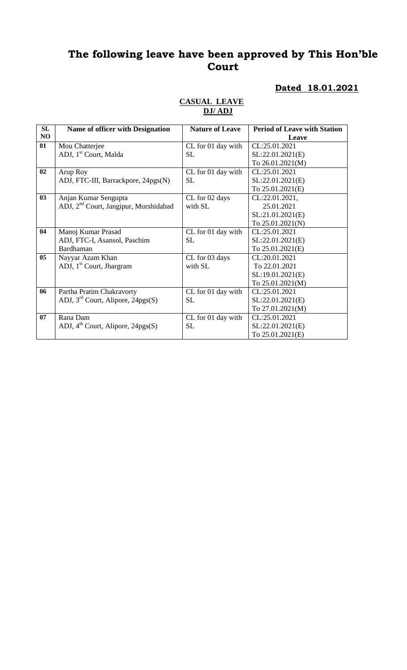### **Dated 18.01.2021**

| SL | <b>Name of officer with Designation</b>           | <b>Nature of Leave</b> | <b>Period of Leave with Station</b> |
|----|---------------------------------------------------|------------------------|-------------------------------------|
| NO |                                                   |                        |                                     |
|    |                                                   |                        | Leave                               |
| 01 | Mou Chatterjee                                    | CL for 01 day with     | CL:25.01.2021                       |
|    | ADJ, 1 <sup>st</sup> Court, Malda                 | SL                     | SL:22.01.2021(E)                    |
|    |                                                   |                        | To 26.01.2021(M)                    |
| 02 | Arup Roy                                          | CL for 01 day with     | CL:25.01.2021                       |
|    | ADJ, FTC-III, Barrackpore, 24pgs(N)               | <b>SL</b>              | SL:22.01.2021(E)                    |
|    |                                                   |                        | To 25.01.2021(E)                    |
| 03 | Anjan Kumar Sengupta                              | CL for 02 days         | CL:22.01.2021,                      |
|    | ADJ, 2 <sup>nd</sup> Court, Jangipur, Murshidabad | with SL                | 25.01.2021                          |
|    |                                                   |                        | SL:21.01.2021(E)                    |
|    |                                                   |                        | To 25.01.2021(N)                    |
| 04 | Manoj Kumar Prasad                                | CL for 01 day with     | CL:25.01.2021                       |
|    | ADJ, FTC-I, Asansol, Paschim                      | <b>SL</b>              | SL:22.01.2021(E)                    |
|    | Bardhaman                                         |                        | To 25.01.2021(E)                    |
| 05 | Nayyar Azam Khan                                  | CL for 03 days         | CL:20.01.2021                       |
|    | ADJ, 1 <sup>st</sup> Court, Jhargram              | with SL                | To 22.01.2021                       |
|    |                                                   |                        | SL:19.01.2021(E)                    |
|    |                                                   |                        | To 25.01.2021(M)                    |
| 06 | Partha Pratim Chakravorty                         | CL for 01 day with     | CL:25.01.2021                       |
|    | ADJ, $3rd$ Court, Alipore, 24pgs(S)               | <b>SL</b>              | SL:22.01.2021(E)                    |
|    |                                                   |                        | To 27.01.2021(M)                    |
| 07 | Rana Dam                                          | CL for 01 day with     | CL:25.01.2021                       |
|    | ADJ, $4th$ Court, Alipore, 24pgs(S)               | <b>SL</b>              | SL:22.01.2021(E)                    |
|    |                                                   |                        | To 25.01.2021(E)                    |

#### **CASUAL LEAVE DJ/ ADJ**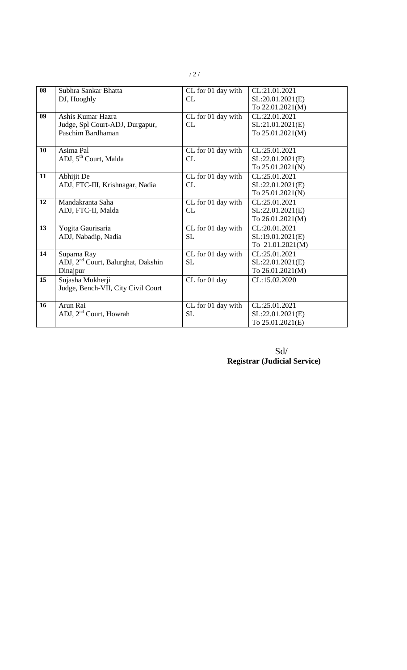| 08 | Subhra Sankar Bhatta                           | CL for 01 day with | CL:21.01.2021    |
|----|------------------------------------------------|--------------------|------------------|
|    | DJ, Hooghly                                    | CL                 | SL:20.01.2021(E) |
|    |                                                |                    | To 22.01.2021(M) |
| 09 | Ashis Kumar Hazra                              | CL for 01 day with | CL:22.01.2021    |
|    | Judge, Spl Court-ADJ, Durgapur,                | CL                 | SL:21.01.2021(E) |
|    | Paschim Bardhaman                              |                    | To 25.01.2021(M) |
|    |                                                |                    |                  |
| 10 | Asima Pal                                      | CL for 01 day with | CL:25.01.2021    |
|    | ADJ, 5 <sup>th</sup> Court, Malda              | CL                 | SL:22.01.2021(E) |
|    |                                                |                    | To 25.01.2021(N) |
| 11 | Abhijit De                                     | CL for 01 day with | CL:25.01.2021    |
|    | ADJ, FTC-III, Krishnagar, Nadia                | CL                 | SL:22.01.2021(E) |
|    |                                                |                    | To 25.01.2021(N) |
| 12 | Mandakranta Saha                               | CL for 01 day with | CL:25.01.2021    |
|    | ADJ, FTC-II, Malda                             | CL                 | SL:22.01.2021(E) |
|    |                                                |                    | To 26.01.2021(M) |
| 13 | Yogita Gaurisaria                              | CL for 01 day with | CL:20.01.2021    |
|    | ADJ, Nabadip, Nadia                            | <b>SL</b>          | SL:19.01.2021(E) |
|    |                                                |                    | To 21.01.2021(M) |
| 14 | Suparna Ray                                    | CL for 01 day with | CL:25.01.2021    |
|    | ADJ, 2 <sup>nd</sup> Court, Balurghat, Dakshin | <b>SL</b>          | SL:22.01.2021(E) |
|    | Dinajpur                                       |                    | To 26.01.2021(M) |
| 15 | Sujasha Mukherji                               | CL for 01 day      | CL:15.02.2020    |
|    | Judge, Bench-VII, City Civil Court             |                    |                  |
|    |                                                |                    |                  |
| 16 | Arun Rai                                       | CL for 01 day with | CL:25.01.2021    |
|    | ADJ, 2 <sup>nd</sup> Court, Howrah             | <b>SL</b>          | SL:22.01.2021(E) |
|    |                                                |                    | To 25.01.2021(E) |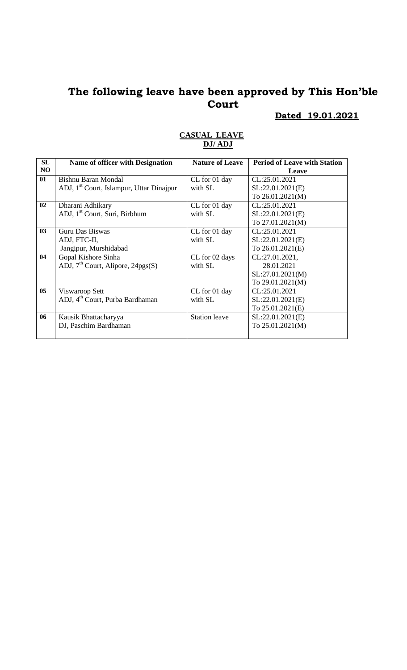**Dated 19.01.2021**

| SL             | Name of officer with Designation                     | <b>Nature of Leave</b> | <b>Period of Leave with Station</b> |
|----------------|------------------------------------------------------|------------------------|-------------------------------------|
| N <sub>O</sub> |                                                      |                        | Leave                               |
| 01             | Bishnu Baran Mondal                                  | CL for 01 day          | CL:25.01.2021                       |
|                | ADJ, 1 <sup>st</sup> Court, Islampur, Uttar Dinajpur | with SL                | SL:22.01.2021(E)                    |
|                |                                                      |                        | To 26.01.2021(M)                    |
| 02             | Dharani Adhikary                                     | CL for 01 day          | CL:25.01.2021                       |
|                | ADJ, 1 <sup>st</sup> Court, Suri, Birbhum            | with SL                | SL:22.01.2021(E)                    |
|                |                                                      |                        | To $27.01.2021(M)$                  |
| 0 <sub>3</sub> | Guru Das Biswas                                      | CL for 01 day          | CL:25.01.2021                       |
|                | ADJ, FTC-II,                                         | with SL                | SL:22.01.2021(E)                    |
|                | Jangipur, Murshidabad                                |                        | To 26.01.2021(E)                    |
| 04             | Gopal Kishore Sinha                                  | CL for 02 days         | CL:27.01.2021,                      |
|                | ADJ, $7th$ Court, Alipore, 24pgs(S)                  | with SL                | 28.01.2021                          |
|                |                                                      |                        | SL:27.01.2021(M)                    |
|                |                                                      |                        | To 29.01.2021(M)                    |
| 05             | Viswaroop Sett                                       | CL for 01 day          | CL:25.01.2021                       |
|                | ADJ, 4 <sup>th</sup> Court, Purba Bardhaman          | with SL                | SL:22.01.2021(E)                    |
|                |                                                      |                        | To 25.01.2021(E)                    |
| 06             | Kausik Bhattacharyya                                 | <b>Station leave</b>   | SL:22.01.2021(E)                    |
|                | DJ, Paschim Bardhaman                                |                        | To $25.01.2021(M)$                  |
|                |                                                      |                        |                                     |

#### **CASUAL LEAVE DJ/ ADJ**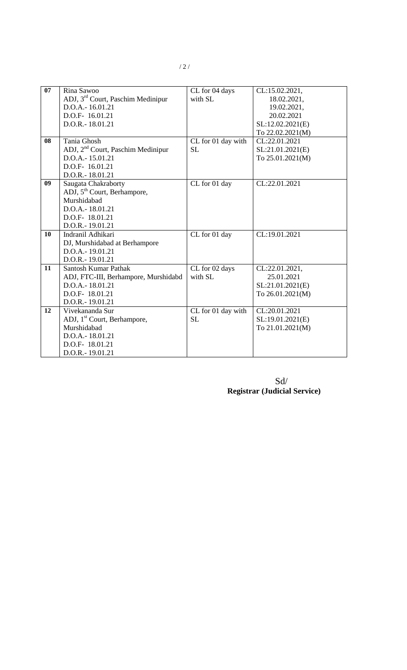| 07 | Rina Sawoo                                    | CL for 04 days     | CL:15.02.2021,   |
|----|-----------------------------------------------|--------------------|------------------|
|    | ADJ, 3 <sup>rd</sup> Court, Paschim Medinipur | with SL            | 18.02.2021,      |
|    | D.O.A.-16.01.21                               |                    | 19.02.2021,      |
|    | D.O.F-16.01.21                                |                    | 20.02.2021       |
|    | D.O.R.-18.01.21                               |                    | SL:12.02.2021(E) |
|    |                                               |                    | To 22.02.2021(M) |
| 08 | Tania Ghosh                                   | CL for 01 day with | CL:22.01.2021    |
|    | ADJ, 2 <sup>nd</sup> Court, Paschim Medinipur | <b>SL</b>          | SL:21.01.2021(E) |
|    | D.O.A.-15.01.21                               |                    | To 25.01.2021(M) |
|    | D.O.F- 16.01.21                               |                    |                  |
|    | D.O.R.-18.01.21                               |                    |                  |
| 09 | Saugata Chakraborty                           | CL for 01 day      | CL:22.01.2021    |
|    | ADJ, 5 <sup>th</sup> Court, Berhampore,       |                    |                  |
|    | Murshidabad                                   |                    |                  |
|    | D.O.A.-18.01.21                               |                    |                  |
|    | D.O.F- 18.01.21                               |                    |                  |
|    | D.O.R.-19.01.21                               |                    |                  |
| 10 | Indranil Adhikari                             | CL for 01 day      | CL:19.01.2021    |
|    | DJ, Murshidabad at Berhampore                 |                    |                  |
|    | D.O.A.-19.01.21                               |                    |                  |
|    | D.O.R.-19.01.21                               |                    |                  |
| 11 | <b>Santosh Kumar Pathak</b>                   | CL for 02 days     | CL:22.01.2021,   |
|    | ADJ, FTC-III, Berhampore, Murshidabd          | with SL            | 25.01.2021       |
|    | D.O.A.-18.01.21                               |                    | SL:21.01.2021(E) |
|    | D.O.F- 18.01.21                               |                    | To 26.01.2021(M) |
|    | D.O.R.-19.01.21                               |                    |                  |
| 12 | Vivekananda Sur                               | CL for 01 day with | CL:20.01.2021    |
|    | ADJ, 1 <sup>st</sup> Court, Berhampore,       | <b>SL</b>          | SL:19.01.2021(E) |
|    | Murshidabad                                   |                    | To 21.01.2021(M) |
|    | D.O.A.-18.01.21                               |                    |                  |
|    | D.O.F-18.01.21                                |                    |                  |
|    | D.O.R.-19.01.21                               |                    |                  |